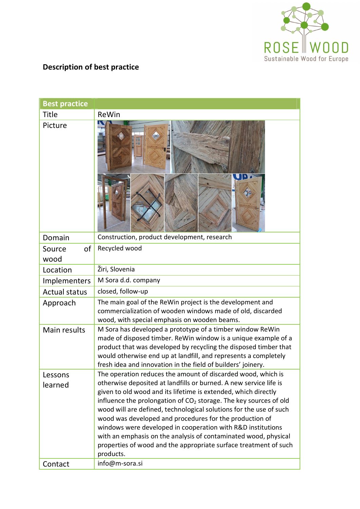

## **Description of best practice**

| <b>Best practice</b> |                                                                                                                                                                                                                                                                                                                                    |  |
|----------------------|------------------------------------------------------------------------------------------------------------------------------------------------------------------------------------------------------------------------------------------------------------------------------------------------------------------------------------|--|
| <b>Title</b>         | ReWin                                                                                                                                                                                                                                                                                                                              |  |
| Picture              |                                                                                                                                                                                                                                                                                                                                    |  |
| Domain               | Construction, product development, research                                                                                                                                                                                                                                                                                        |  |
| 0f<br>Source<br>wood | Recycled wood                                                                                                                                                                                                                                                                                                                      |  |
| Location             | Žiri, Slovenia                                                                                                                                                                                                                                                                                                                     |  |
| Implementers         | M Sora d.d. company                                                                                                                                                                                                                                                                                                                |  |
| <b>Actual status</b> | closed, follow-up                                                                                                                                                                                                                                                                                                                  |  |
| Approach             | The main goal of the ReWin project is the development and<br>commercialization of wooden windows made of old, discarded<br>wood, with special emphasis on wooden beams.                                                                                                                                                            |  |
| Main results         | M Sora has developed a prototype of a timber window ReWin<br>made of disposed timber. ReWin window is a unique example of a<br>product that was developed by recycling the disposed timber that<br>would otherwise end up at landfill, and represents a completely<br>fresh idea and innovation in the field of builders' joinery. |  |
| Lessons              | The operation reduces the amount of discarded wood, which is                                                                                                                                                                                                                                                                       |  |
| learned              | otherwise deposited at landfills or burned. A new service life is<br>given to old wood and its lifetime is extended, which directly                                                                                                                                                                                                |  |
|                      | influence the prolongation of CO <sub>2</sub> storage. The key sources of old                                                                                                                                                                                                                                                      |  |
|                      | wood will are defined, technological solutions for the use of such                                                                                                                                                                                                                                                                 |  |
|                      | wood was developed and procedures for the production of                                                                                                                                                                                                                                                                            |  |
|                      | windows were developed in cooperation with R&D institutions<br>with an emphasis on the analysis of contaminated wood, physical                                                                                                                                                                                                     |  |
|                      | properties of wood and the appropriate surface treatment of such<br>products.                                                                                                                                                                                                                                                      |  |
| Contact              | info@m-sora.si                                                                                                                                                                                                                                                                                                                     |  |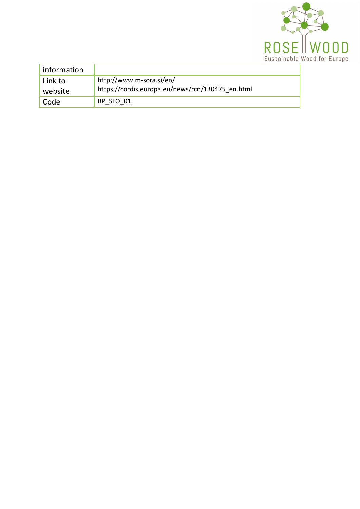

| information        |                                                                              |
|--------------------|------------------------------------------------------------------------------|
| Link to<br>website | http://www.m-sora.si/en/<br>https://cordis.europa.eu/news/rcn/130475 en.html |
| Code               | BP SLO 01                                                                    |